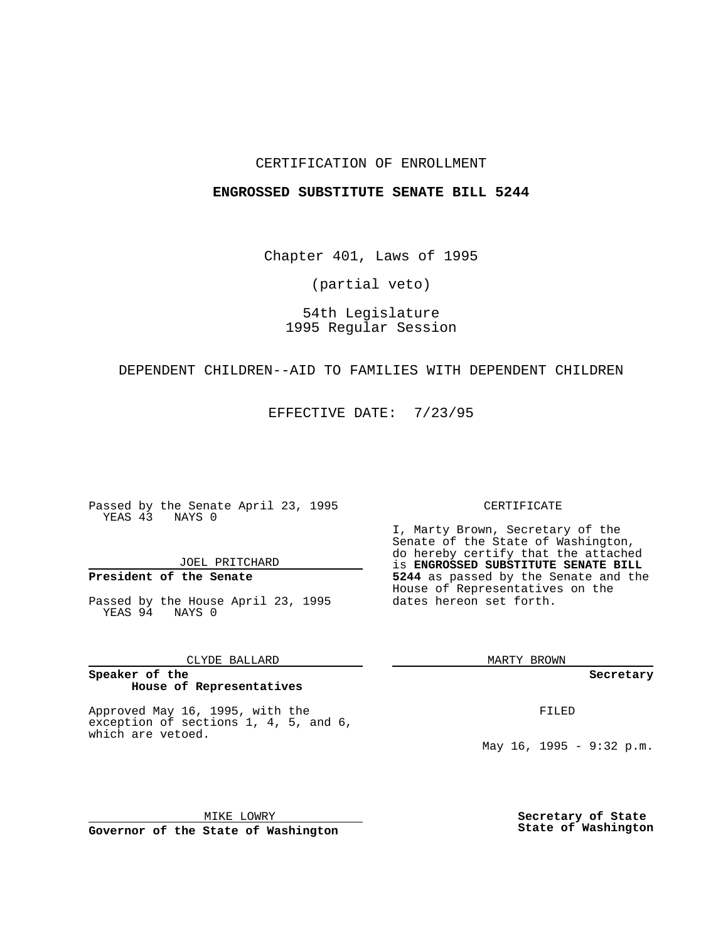### CERTIFICATION OF ENROLLMENT

#### **ENGROSSED SUBSTITUTE SENATE BILL 5244**

Chapter 401, Laws of 1995

(partial veto)

54th Legislature 1995 Regular Session

#### DEPENDENT CHILDREN--AID TO FAMILIES WITH DEPENDENT CHILDREN

EFFECTIVE DATE: 7/23/95

Passed by the Senate April 23, 1995 YEAS 43 NAYS 0

JOEL PRITCHARD

# **President of the Senate**

Passed by the House April 23, 1995 YEAS 94 NAYS 0

CLYDE BALLARD

#### **Speaker of the House of Representatives**

Approved May 16, 1995, with the exception of sections 1, 4, 5, and 6, which are vetoed.

MIKE LOWRY **Governor of the State of Washington**

#### CERTIFICATE

I, Marty Brown, Secretary of the Senate of the State of Washington, do hereby certify that the attached is **ENGROSSED SUBSTITUTE SENATE BILL 5244** as passed by the Senate and the House of Representatives on the dates hereon set forth.

MARTY BROWN

**Secretary**

FILED

May  $16$ ,  $1995 - 9:32$  p.m.

**Secretary of State State of Washington**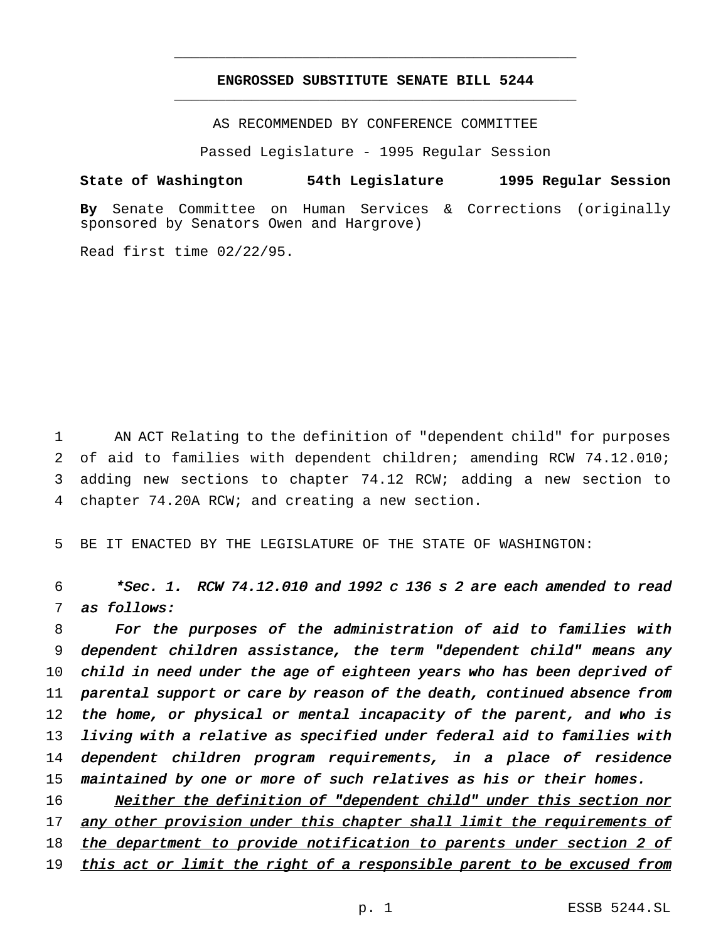# **ENGROSSED SUBSTITUTE SENATE BILL 5244** \_\_\_\_\_\_\_\_\_\_\_\_\_\_\_\_\_\_\_\_\_\_\_\_\_\_\_\_\_\_\_\_\_\_\_\_\_\_\_\_\_\_\_\_\_\_\_

\_\_\_\_\_\_\_\_\_\_\_\_\_\_\_\_\_\_\_\_\_\_\_\_\_\_\_\_\_\_\_\_\_\_\_\_\_\_\_\_\_\_\_\_\_\_\_

AS RECOMMENDED BY CONFERENCE COMMITTEE

Passed Legislature - 1995 Regular Session

## **State of Washington 54th Legislature 1995 Regular Session**

**By** Senate Committee on Human Services & Corrections (originally sponsored by Senators Owen and Hargrove)

Read first time 02/22/95.

 AN ACT Relating to the definition of "dependent child" for purposes of aid to families with dependent children; amending RCW 74.12.010; adding new sections to chapter 74.12 RCW; adding a new section to chapter 74.20A RCW; and creating a new section.

5 BE IT ENACTED BY THE LEGISLATURE OF THE STATE OF WASHINGTON:

 $6$  \*Sec. 1. RCW 74.12.010 and 1992 c 136 s 2 are each amended to read 7 as follows:

 For the purposes of the administration of aid to families with dependent children assistance, the term "dependent child" means any 10 child in need under the age of eighteen years who has been deprived of parental support or care by reason of the death, continued absence from 12 the home, or physical or mental incapacity of the parent, and who is living with <sup>a</sup> relative as specified under federal aid to families with dependent children program requirements, in <sup>a</sup> place of residence 15 maintained by one or more of such relatives as his or their homes.

16 Neither the definition of "dependent child" under this section nor 17 any other provision under this chapter shall limit the requirements of 18 the department to provide notification to parents under section 2 of 19 this act or limit the right of a responsible parent to be excused from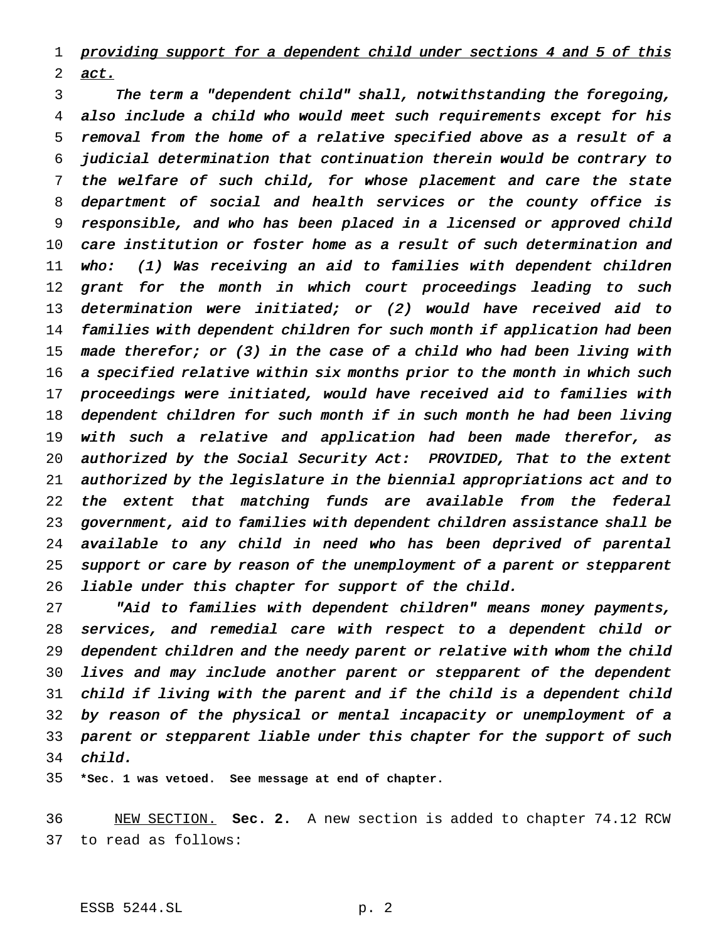1 providing support for a dependent child under sections 4 and 5 of this act.

 The term <sup>a</sup> "dependent child" shall, notwithstanding the foregoing, also include <sup>a</sup> child who would meet such requirements except for his removal from the home of <sup>a</sup> relative specified above as <sup>a</sup> result of <sup>a</sup> judicial determination that continuation therein would be contrary to the welfare of such child, for whose placement and care the state department of social and health services or the county office is responsible, and who has been placed in <sup>a</sup> licensed or approved child care institution or foster home as <sup>a</sup> result of such determination and who: (1) Was receiving an aid to families with dependent children 12 grant for the month in which court proceedings leading to such determination were initiated; or (2) would have received aid to families with dependent children for such month if application had been made therefor; or (3) in the case of <sup>a</sup> child who had been living with 16 a specified relative within six months prior to the month in which such proceedings were initiated, would have received aid to families with dependent children for such month if in such month he had been living with such <sup>a</sup> relative and application had been made therefor, as authorized by the Social Security Act: PROVIDED, That to the extent authorized by the legislature in the biennial appropriations act and to the extent that matching funds are available from the federal government, aid to families with dependent children assistance shall be available to any child in need who has been deprived of parental 25 support or care by reason of the unemployment of a parent or stepparent liable under this chapter for support of the child.

 "Aid to families with dependent children" means money payments, services, and remedial care with respect to <sup>a</sup> dependent child or dependent children and the needy parent or relative with whom the child lives and may include another parent or stepparent of the dependent child if living with the parent and if the child is <sup>a</sup> dependent child by reason of the physical or mental incapacity or unemployment of <sup>a</sup> parent or stepparent liable under this chapter for the support of such child.

**\*Sec. 1 was vetoed. See message at end of chapter.**

 NEW SECTION. **Sec. 2.** A new section is added to chapter 74.12 RCW to read as follows: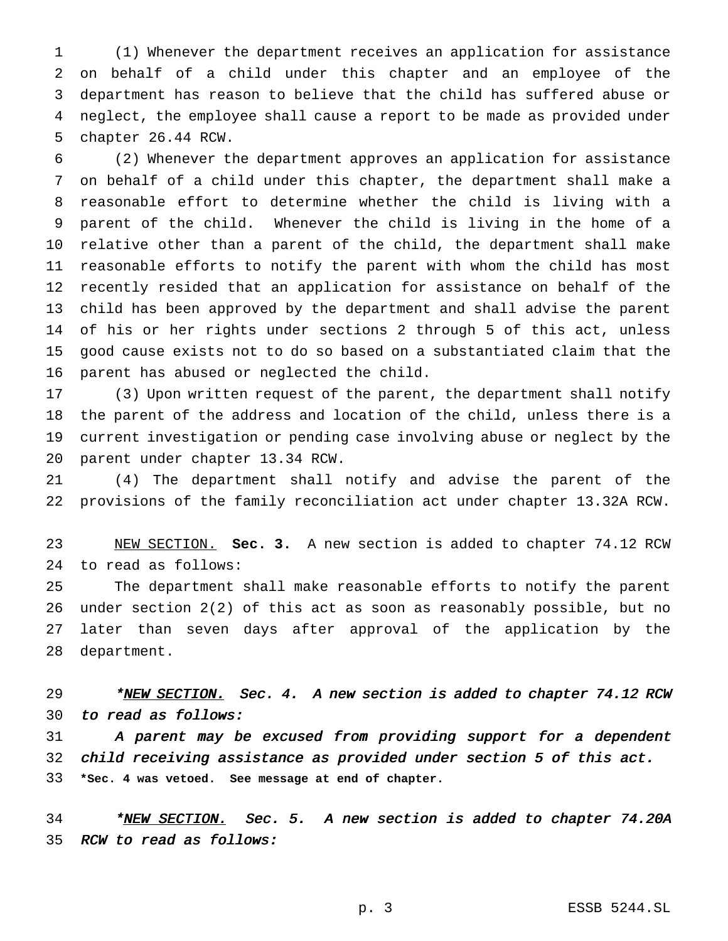(1) Whenever the department receives an application for assistance on behalf of a child under this chapter and an employee of the department has reason to believe that the child has suffered abuse or neglect, the employee shall cause a report to be made as provided under chapter 26.44 RCW.

 (2) Whenever the department approves an application for assistance on behalf of a child under this chapter, the department shall make a reasonable effort to determine whether the child is living with a parent of the child. Whenever the child is living in the home of a relative other than a parent of the child, the department shall make reasonable efforts to notify the parent with whom the child has most recently resided that an application for assistance on behalf of the child has been approved by the department and shall advise the parent of his or her rights under sections 2 through 5 of this act, unless good cause exists not to do so based on a substantiated claim that the parent has abused or neglected the child.

 (3) Upon written request of the parent, the department shall notify the parent of the address and location of the child, unless there is a current investigation or pending case involving abuse or neglect by the parent under chapter 13.34 RCW.

 (4) The department shall notify and advise the parent of the provisions of the family reconciliation act under chapter 13.32A RCW.

 NEW SECTION. **Sec. 3.** A new section is added to chapter 74.12 RCW to read as follows:

 The department shall make reasonable efforts to notify the parent under section 2(2) of this act as soon as reasonably possible, but no later than seven days after approval of the application by the department.

29 \*NEW SECTION. Sec. 4. A new section is added to chapter 74.12 RCW to read as follows:

 <sup>A</sup> parent may be excused from providing support for <sup>a</sup> dependent child receiving assistance as provided under section <sup>5</sup> of this act. **\*Sec. 4 was vetoed. See message at end of chapter.**

34 \*NEW SECTION. Sec. 5. A new section is added to chapter 74.20A RCW to read as follows: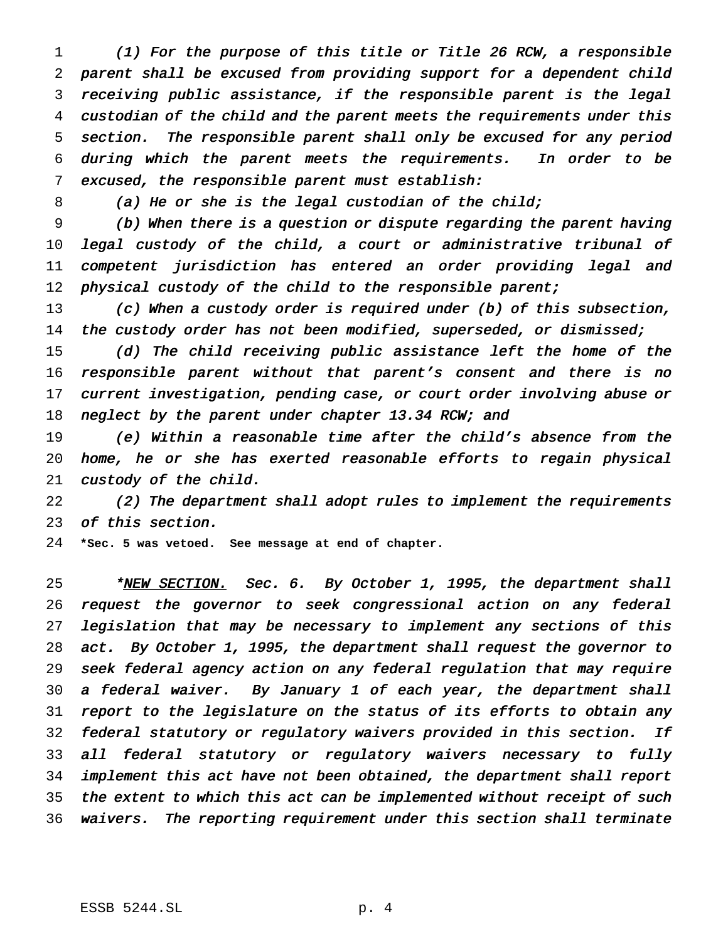(1) For the purpose of this title or Title <sup>26</sup> RCW, <sup>a</sup> responsible parent shall be excused from providing support for <sup>a</sup> dependent child receiving public assistance, if the responsible parent is the legal custodian of the child and the parent meets the requirements under this section. The responsible parent shall only be excused for any period during which the parent meets the requirements. In order to be excused, the responsible parent must establish:

8 (a) He or she is the legal custodian of the child;

 (b) When there is <sup>a</sup> question or dispute regarding the parent having legal custody of the child, <sup>a</sup> court or administrative tribunal of competent jurisdiction has entered an order providing legal and 12 physical custody of the child to the responsible parent;

 (c) When <sup>a</sup> custody order is required under (b) of this subsection, 14 the custody order has not been modified, superseded, or dismissed;

 (d) The child receiving public assistance left the home of the responsible parent without that parent's consent and there is no current investigation, pending case, or court order involving abuse or 18 neglect by the parent under chapter 13.34 RCW; and

 (e) Within <sup>a</sup> reasonable time after the child's absence from the home, he or she has exerted reasonable efforts to regain physical custody of the child.

 (2) The department shall adopt rules to implement the requirements of this section.

**\*Sec. 5 was vetoed. See message at end of chapter.**

25 \*NEW SECTION. Sec. 6. By October 1, 1995, the department shall request the governor to seek congressional action on any federal legislation that may be necessary to implement any sections of this act. By October 1, 1995, the department shall request the governor to seek federal agency action on any federal regulation that may require <sup>a</sup> federal waiver. By January <sup>1</sup> of each year, the department shall report to the legislature on the status of its efforts to obtain any federal statutory or regulatory waivers provided in this section. If all federal statutory or regulatory waivers necessary to fully implement this act have not been obtained, the department shall report 35 the extent to which this act can be implemented without receipt of such waivers. The reporting requirement under this section shall terminate